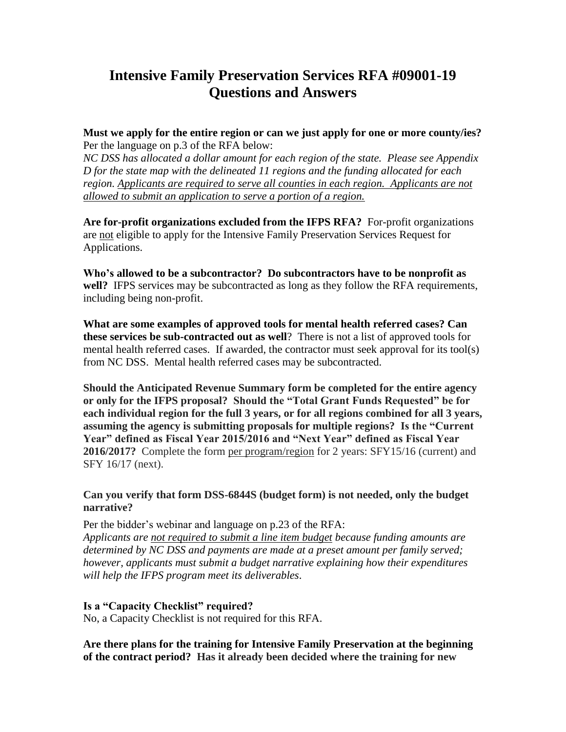# **Intensive Family Preservation Services RFA #09001-19 Questions and Answers**

**Must we apply for the entire region or can we just apply for one or more county/ies?** Per the language on p.3 of the RFA below:

*NC DSS has allocated a dollar amount for each region of the state. Please see Appendix D for the state map with the delineated 11 regions and the funding allocated for each region. Applicants are required to serve all counties in each region. Applicants are not allowed to submit an application to serve a portion of a region.* 

**Are for-profit organizations excluded from the IFPS RFA?** For-profit organizations are not eligible to apply for the Intensive Family Preservation Services Request for Applications.

**Who's allowed to be a subcontractor? Do subcontractors have to be nonprofit as well?** IFPS services may be subcontracted as long as they follow the RFA requirements, including being non-profit.

**What are some examples of approved tools for mental health referred cases? Can these services be sub-contracted out as well**? There is not a list of approved tools for mental health referred cases. If awarded, the contractor must seek approval for its tool(s) from NC DSS. Mental health referred cases may be subcontracted.

**Should the Anticipated Revenue Summary form be completed for the entire agency or only for the IFPS proposal? Should the "Total Grant Funds Requested" be for each individual region for the full 3 years, or for all regions combined for all 3 years, assuming the agency is submitting proposals for multiple regions? Is the "Current Year" defined as Fiscal Year 2015/2016 and "Next Year" defined as Fiscal Year 2016/2017?** Complete the form per program/region for 2 years: SFY15/16 (current) and SFY 16/17 (next).

#### **Can you verify that form DSS-6844S (budget form) is not needed, only the budget narrative?**

Per the bidder's webinar and language on p.23 of the RFA: *Applicants are not required to submit a line item budget because funding amounts are determined by NC DSS and payments are made at a preset amount per family served; however, applicants must submit a budget narrative explaining how their expenditures will help the IFPS program meet its deliverables*.

### **Is a "Capacity Checklist" required?**

No, a Capacity Checklist is not required for this RFA.

**Are there plans for the training for Intensive Family Preservation at the beginning of the contract period? Has it already been decided where the training for new**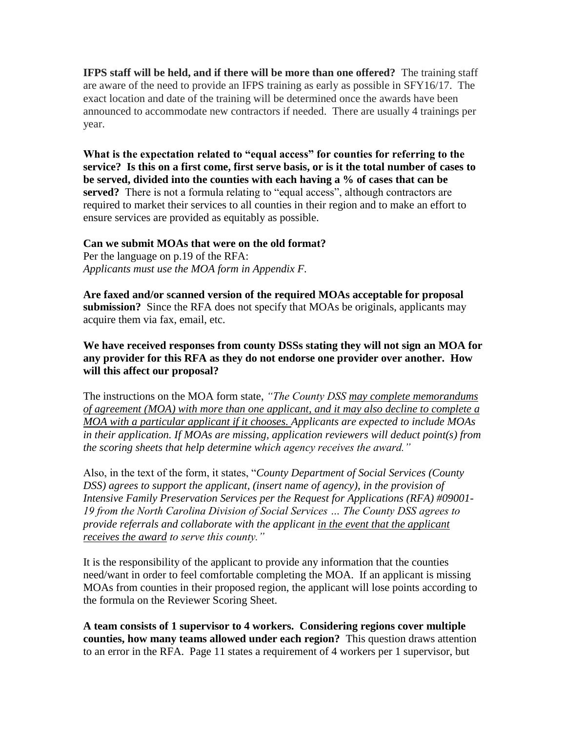**IFPS staff will be held, and if there will be more than one offered?** The training staff are aware of the need to provide an IFPS training as early as possible in SFY16/17. The exact location and date of the training will be determined once the awards have been announced to accommodate new contractors if needed. There are usually 4 trainings per year.

**What is the expectation related to "equal access" for counties for referring to the service? Is this on a first come, first serve basis, or is it the total number of cases to be served, divided into the counties with each having a % of cases that can be served?** There is not a formula relating to "equal access", although contractors are required to market their services to all counties in their region and to make an effort to ensure services are provided as equitably as possible.

## **Can we submit MOAs that were on the old format?**

Per the language on p.19 of the RFA: *Applicants must use the MOA form in Appendix F.*

**Are faxed and/or scanned version of the required MOAs acceptable for proposal submission?** Since the RFA does not specify that MOAs be originals, applicants may acquire them via fax, email, etc.

### **We have received responses from county DSSs stating they will not sign an MOA for any provider for this RFA as they do not endorse one provider over another. How will this affect our proposal?**

The instructions on the MOA form state, *"The County DSS may complete memorandums of agreement (MOA) with more than one applicant, and it may also decline to complete a MOA with a particular applicant if it chooses. Applicants are expected to include MOAs in their application. If MOAs are missing, application reviewers will deduct point(s) from the scoring sheets that help determine which agency receives the award."*

Also, in the text of the form, it states, "*County Department of Social Services (County DSS) agrees to support the applicant, (insert name of agency), in the provision of Intensive Family Preservation Services per the Request for Applications (RFA) #09001- 19 from the North Carolina Division of Social Services … The County DSS agrees to provide referrals and collaborate with the applicant in the event that the applicant receives the award to serve this county."* 

It is the responsibility of the applicant to provide any information that the counties need/want in order to feel comfortable completing the MOA. If an applicant is missing MOAs from counties in their proposed region, the applicant will lose points according to the formula on the Reviewer Scoring Sheet.

**A team consists of 1 supervisor to 4 workers. Considering regions cover multiple counties, how many teams allowed under each region?** This question draws attention to an error in the RFA. Page 11 states a requirement of 4 workers per 1 supervisor, but